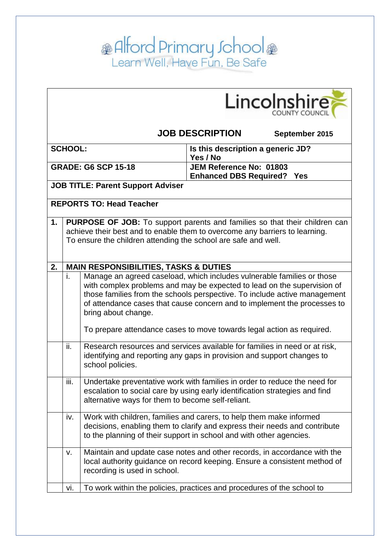| Lincolnshire                    |                                                                                                                                                                                                                             |                                                                                                                                                                                                                                                                                                                                                                                                            |                                                                     |                |  |  |
|---------------------------------|-----------------------------------------------------------------------------------------------------------------------------------------------------------------------------------------------------------------------------|------------------------------------------------------------------------------------------------------------------------------------------------------------------------------------------------------------------------------------------------------------------------------------------------------------------------------------------------------------------------------------------------------------|---------------------------------------------------------------------|----------------|--|--|
|                                 |                                                                                                                                                                                                                             |                                                                                                                                                                                                                                                                                                                                                                                                            | <b>JOB DESCRIPTION</b>                                              | September 2015 |  |  |
| <b>SCHOOL:</b>                  |                                                                                                                                                                                                                             |                                                                                                                                                                                                                                                                                                                                                                                                            | Is this description a generic JD?<br>Yes / No                       |                |  |  |
| <b>GRADE: G6 SCP 15-18</b>      |                                                                                                                                                                                                                             |                                                                                                                                                                                                                                                                                                                                                                                                            | <b>JEM Reference No: 01803</b><br><b>Enhanced DBS Required? Yes</b> |                |  |  |
|                                 | <b>JOB TITLE: Parent Support Adviser</b>                                                                                                                                                                                    |                                                                                                                                                                                                                                                                                                                                                                                                            |                                                                     |                |  |  |
| <b>REPORTS TO: Head Teacher</b> |                                                                                                                                                                                                                             |                                                                                                                                                                                                                                                                                                                                                                                                            |                                                                     |                |  |  |
| 1.                              | PURPOSE OF JOB: To support parents and families so that their children can<br>achieve their best and to enable them to overcome any barriers to learning.<br>To ensure the children attending the school are safe and well. |                                                                                                                                                                                                                                                                                                                                                                                                            |                                                                     |                |  |  |
| 2.                              |                                                                                                                                                                                                                             | <b>MAIN RESPONSIBILITIES, TASKS &amp; DUTIES</b>                                                                                                                                                                                                                                                                                                                                                           |                                                                     |                |  |  |
|                                 | i.                                                                                                                                                                                                                          | Manage an agreed caseload, which includes vulnerable families or those<br>with complex problems and may be expected to lead on the supervision of<br>those families from the schools perspective. To include active management<br>of attendance cases that cause concern and to implement the processes to<br>bring about change.<br>To prepare attendance cases to move towards legal action as required. |                                                                     |                |  |  |
|                                 | ii.                                                                                                                                                                                                                         | Research resources and services available for families in need or at risk,<br>identifying and reporting any gaps in provision and support changes to<br>school policies.                                                                                                                                                                                                                                   |                                                                     |                |  |  |
|                                 | iii.                                                                                                                                                                                                                        | Undertake preventative work with families in order to reduce the need for<br>escalation to social care by using early identification strategies and find<br>alternative ways for them to become self-reliant.                                                                                                                                                                                              |                                                                     |                |  |  |
|                                 | iv.                                                                                                                                                                                                                         | Work with children, families and carers, to help them make informed<br>decisions, enabling them to clarify and express their needs and contribute<br>to the planning of their support in school and with other agencies.                                                                                                                                                                                   |                                                                     |                |  |  |
|                                 | V.                                                                                                                                                                                                                          | Maintain and update case notes and other records, in accordance with the<br>local authority guidance on record keeping. Ensure a consistent method of<br>recording is used in school.                                                                                                                                                                                                                      |                                                                     |                |  |  |
|                                 | vi.                                                                                                                                                                                                                         | To work within the policies, practices and procedures of the school to                                                                                                                                                                                                                                                                                                                                     |                                                                     |                |  |  |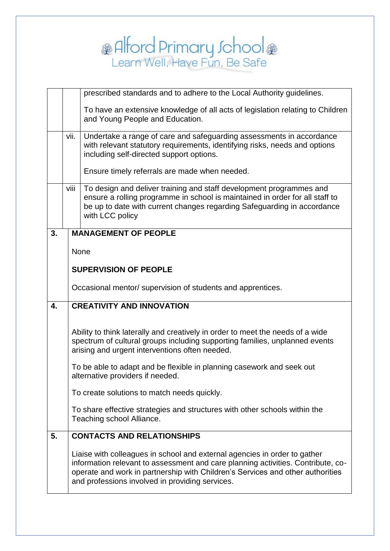|    |      | prescribed standards and to adhere to the Local Authority guidelines.                                                                                                                                                                                                                              |  |  |
|----|------|----------------------------------------------------------------------------------------------------------------------------------------------------------------------------------------------------------------------------------------------------------------------------------------------------|--|--|
|    |      | To have an extensive knowledge of all acts of legislation relating to Children<br>and Young People and Education.                                                                                                                                                                                  |  |  |
|    | vii. | Undertake a range of care and safeguarding assessments in accordance<br>with relevant statutory requirements, identifying risks, needs and options<br>including self-directed support options.                                                                                                     |  |  |
|    |      | Ensure timely referrals are made when needed.                                                                                                                                                                                                                                                      |  |  |
|    | viii | To design and deliver training and staff development programmes and<br>ensure a rolling programme in school is maintained in order for all staff to<br>be up to date with current changes regarding Safeguarding in accordance<br>with LCC policy                                                  |  |  |
| 3. |      | <b>MANAGEMENT OF PEOPLE</b>                                                                                                                                                                                                                                                                        |  |  |
|    |      | None                                                                                                                                                                                                                                                                                               |  |  |
|    |      | <b>SUPERVISION OF PEOPLE</b>                                                                                                                                                                                                                                                                       |  |  |
|    |      | Occasional mentor/ supervision of students and apprentices.                                                                                                                                                                                                                                        |  |  |
| 4. |      | <b>CREATIVITY AND INNOVATION</b>                                                                                                                                                                                                                                                                   |  |  |
|    |      | Ability to think laterally and creatively in order to meet the needs of a wide<br>spectrum of cultural groups including supporting families, unplanned events<br>arising and urgent interventions often needed.                                                                                    |  |  |
|    |      | To be able to adapt and be flexible in planning casework and seek out<br>alternative providers if needed.                                                                                                                                                                                          |  |  |
|    |      | To create solutions to match needs quickly.                                                                                                                                                                                                                                                        |  |  |
|    |      | To share effective strategies and structures with other schools within the<br>Teaching school Alliance.                                                                                                                                                                                            |  |  |
| 5. |      | <b>CONTACTS AND RELATIONSHIPS</b>                                                                                                                                                                                                                                                                  |  |  |
|    |      | Liaise with colleagues in school and external agencies in order to gather<br>information relevant to assessment and care planning activities. Contribute, co-<br>operate and work in partnership with Children's Services and other authorities<br>and professions involved in providing services. |  |  |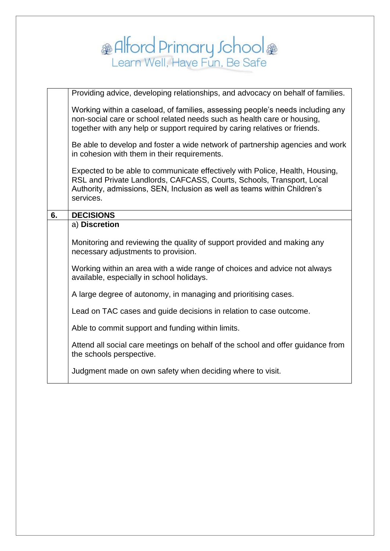|    | Providing advice, developing relationships, and advocacy on behalf of families.                                                                                                                                                                |
|----|------------------------------------------------------------------------------------------------------------------------------------------------------------------------------------------------------------------------------------------------|
|    | Working within a caseload, of families, assessing people's needs including any<br>non-social care or school related needs such as health care or housing,<br>together with any help or support required by caring relatives or friends.        |
|    |                                                                                                                                                                                                                                                |
|    | Be able to develop and foster a wide network of partnership agencies and work<br>in cohesion with them in their requirements.                                                                                                                  |
|    | Expected to be able to communicate effectively with Police, Health, Housing,<br>RSL and Private Landlords, CAFCASS, Courts, Schools, Transport, Local<br>Authority, admissions, SEN, Inclusion as well as teams within Children's<br>services. |
| 6. | <b>DECISIONS</b>                                                                                                                                                                                                                               |
|    | a) Discretion                                                                                                                                                                                                                                  |
|    |                                                                                                                                                                                                                                                |
|    | Monitoring and reviewing the quality of support provided and making any<br>necessary adjustments to provision.                                                                                                                                 |
|    | Working within an area with a wide range of choices and advice not always<br>available, especially in school holidays.                                                                                                                         |
|    | A large degree of autonomy, in managing and prioritising cases.                                                                                                                                                                                |
|    | Lead on TAC cases and guide decisions in relation to case outcome.                                                                                                                                                                             |
|    | Able to commit support and funding within limits.                                                                                                                                                                                              |
|    | Attend all social care meetings on behalf of the school and offer guidance from<br>the schools perspective.                                                                                                                                    |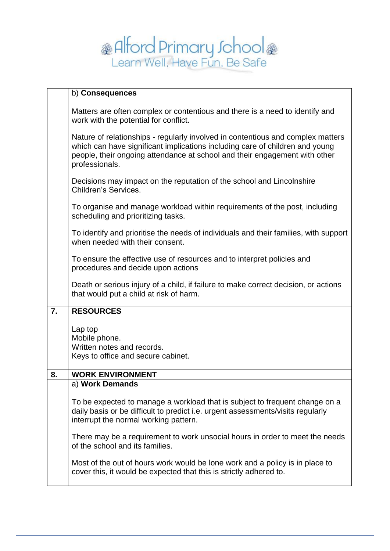| <b><sup>28</sup> Alford Primary Johool</b> |  |
|--------------------------------------------|--|
| Learn Well, Have Fun, Be Safe              |  |

#### b) **Consequences**

Matters are often complex or contentious and there is a need to identify and work with the potential for conflict.

Nature of relationships - regularly involved in contentious and complex matters which can have significant implications including care of children and young people, their ongoing attendance at school and their engagement with other professionals.

Decisions may impact on the reputation of the school and Lincolnshire Children's Services.

To organise and manage workload within requirements of the post, including scheduling and prioritizing tasks.

To identify and prioritise the needs of individuals and their families, with support when needed with their consent.

To ensure the effective use of resources and to interpret policies and procedures and decide upon actions

Death or serious injury of a child, if failure to make correct decision, or actions that would put a child at risk of harm.

### **7. RESOURCES**

Lap top Mobile phone. Written notes and records. Keys to office and secure cabinet.

#### **8. WORK ENVIRONMENT**  a) **Work Demands**

To be expected to manage a workload that is subject to frequent change on a daily basis or be difficult to predict i.e. urgent assessments/visits regularly interrupt the normal working pattern.

There may be a requirement to work unsocial hours in order to meet the needs of the school and its families.

Most of the out of hours work would be lone work and a policy is in place to cover this, it would be expected that this is strictly adhered to.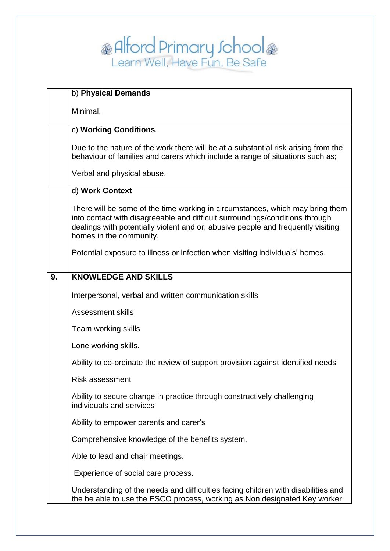|    | b) Physical Demands                                                                                                                                                                                                                                                          |  |
|----|------------------------------------------------------------------------------------------------------------------------------------------------------------------------------------------------------------------------------------------------------------------------------|--|
|    | Minimal.                                                                                                                                                                                                                                                                     |  |
|    | c) Working Conditions.                                                                                                                                                                                                                                                       |  |
|    | Due to the nature of the work there will be at a substantial risk arising from the<br>behaviour of families and carers which include a range of situations such as;                                                                                                          |  |
|    | Verbal and physical abuse.                                                                                                                                                                                                                                                   |  |
|    | d) Work Context                                                                                                                                                                                                                                                              |  |
|    | There will be some of the time working in circumstances, which may bring them<br>into contact with disagreeable and difficult surroundings/conditions through<br>dealings with potentially violent and or, abusive people and frequently visiting<br>homes in the community. |  |
|    | Potential exposure to illness or infection when visiting individuals' homes.                                                                                                                                                                                                 |  |
| 9. | <b>KNOWLEDGE AND SKILLS</b>                                                                                                                                                                                                                                                  |  |
|    | Interpersonal, verbal and written communication skills                                                                                                                                                                                                                       |  |
|    | <b>Assessment skills</b>                                                                                                                                                                                                                                                     |  |
|    | Team working skills                                                                                                                                                                                                                                                          |  |
|    | Lone working skills.                                                                                                                                                                                                                                                         |  |
|    | Ability to co-ordinate the review of support provision against identified needs                                                                                                                                                                                              |  |
|    | <b>Risk assessment</b>                                                                                                                                                                                                                                                       |  |
|    | Ability to secure change in practice through constructively challenging<br>individuals and services                                                                                                                                                                          |  |
|    | Ability to empower parents and carer's                                                                                                                                                                                                                                       |  |
|    | Comprehensive knowledge of the benefits system.                                                                                                                                                                                                                              |  |
|    | Able to lead and chair meetings.                                                                                                                                                                                                                                             |  |
|    | Experience of social care process.                                                                                                                                                                                                                                           |  |
|    | Understanding of the needs and difficulties facing children with disabilities and<br>the be able to use the ESCO process, working as Non designated Key worker                                                                                                               |  |